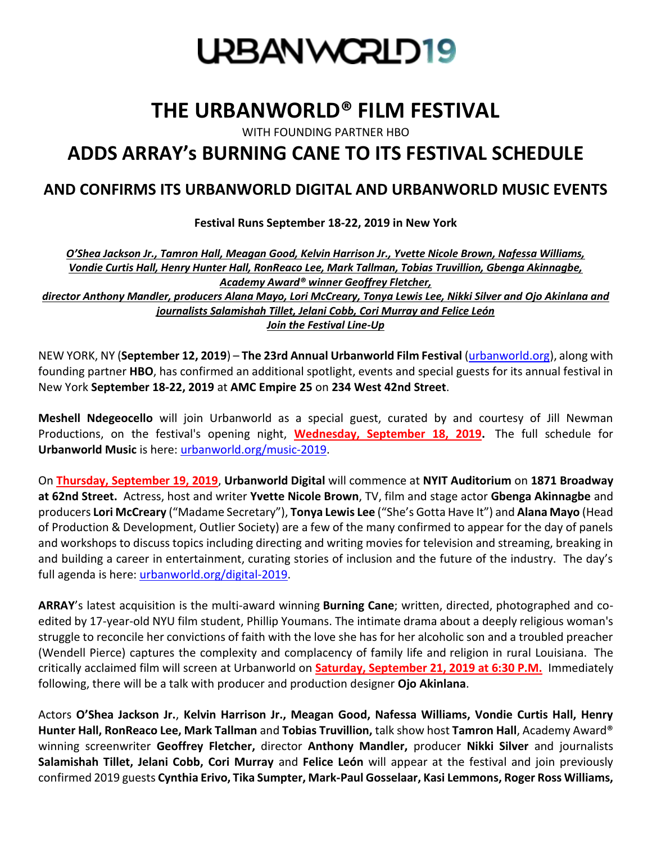

## **THE URBANWORLD® FILM FESTIVAL**

WITH FOUNDING PARTNER HBO

# **[ADDS ARRAY's BURNING CANE TO ITS FESTIVAL SCHEDULE](https://www.urbanworld.org/)**

## **AND CONFIRMS ITS URBANWORLD DIGITAL AND URBANWORLD MUSIC EVENTS**

**Festival Runs September 18-22, 2019 in New York**

*O'Shea Jackson Jr., Tamron Hall, Meagan Good, Kelvin Harrison Jr., Yvette Nicole Brown, Nafessa Williams, Vondie Curtis Hall, Henry Hunter Hall, RonReaco Lee, Mark Tallman, Tobias Truvillion, Gbenga Akinnagbe, Academy Award® winner Geoffrey Fletcher,*

*director Anthony Mandler, producers Alana Mayo, Lori McCreary, Tonya Lewis Lee, Nikki Silver and Ojo Akinlana [and](https://www.urbanworld.org/)  [journalists Salamishah Tillet, Jelani Cobb, Cori Murray and Felice León](https://www.urbanworld.org/) [Join the Festival Line-Up](https://www.urbanworld.org/)*

NEW YORK, NY (**September 12, 2019**) – **The 23rd Annual Urbanworld Film Festival** [\(urbanworld.org\)](http://www.urbanworld.org/), along with founding partner **HBO**, has confirmed an additional spotlight, events and special guests for its annual festival in [N](https://www.urbanworld.org/)ew York **September 18-22, 2019** at **AMC Empire 25** on **234 West 42nd Street**.

**Meshell Ndegeocello** will join Urbanworld as a special guest, curated by and courtesy of Jill Newman Productions, on the festival's opening night, **Wednesday, September 18, 2019.** The full schedule for **Urbanworld Music** is here: [urbanworld.org/music-2019.](https://www.urbanworld.org/music-2019)

On **Thursday, September 19, 2019**, **Urbanworld Digital** will commence at **NYIT Auditorium** on **1871 Broadway at 62nd Street.** Actress, host and writer **Yvette Nicole Brown**, TV, film and stage actor **Gbenga Akinnagbe** and producers **Lori McCreary** ("Madame Secretary"), **Tonya Lewis Lee** ("She's Gotta Have It") and **Alana Mayo** (Head of Production & Development, Outlier Society) are a few of the many confirmed to appear for the day of panels and workshops to discuss topics including directing and writing movies for television and streaming, breaking in and building a career in entertainment, curating stories of inclusion and the future of the industry. The day's full agenda is here: [urbanworld.org/digital-2019.](https://www.urbanworld.org/digital-2019)

**ARRAY**'s latest acquisition is the multi-award winning **Burning Cane**; written, directed, photographed and coedited by 17-year-old NYU film student, Phillip Youmans. The intimate drama about a deeply religious woman's struggle to reconcile her convictions of faith with the love she has for her alcoholic son and a troubled preacher (Wendell Pierce) captures the complexity and complacency of family life and religion in rural Louisiana. The critically acclaimed film will screen at Urbanworld on **Saturday, September 21, 2019 at 6:30 P.M.** Immediately following, there will be a talk with producer and production designer **Ojo Akinlana**.

Actors **O'Shea Jackson Jr.**, **Kelvin Harrison Jr., Meagan Good, Nafessa Williams, Vondie Curtis Hall, Henry Hunter Hall, RonReaco Lee, Mark Tallman** and **Tobias Truvillion,** talk show host **Tamron Hall**, Academy Award® winning screenwriter **Geoffrey Fletcher,** director **Anthony Mandler,** producer **Nikki Silver** and journalists **Salamishah Tillet, Jelani Cobb, Cori Murray** and **Felice León** will appear at the festival and join previously confirmed 2019 guests **Cynthia Erivo, Tika Sumpter, Mark-Paul Gosselaar, Kasi Lemmons, Roger Ross Williams,**